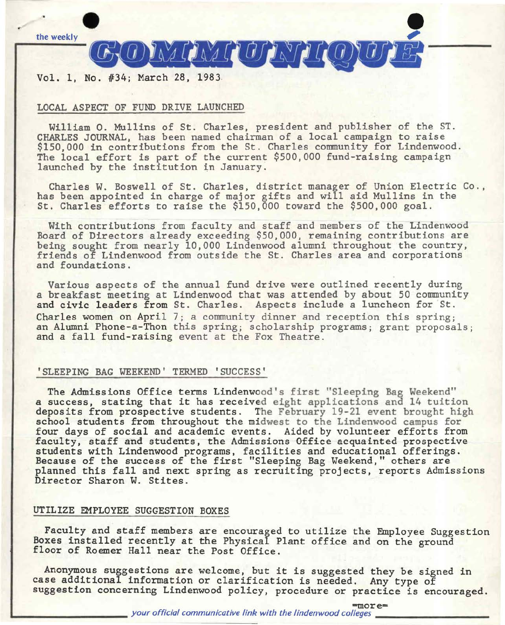

# Vol. 1, No. #34; March 28, 1983.

# LOCAL ASPECT OF FUND DRIVE LAUNCHED

William O. Mullins of St. Charles, president and publisher of the ST. CHARLES JOURNAL, has been named chairman of a local campaign to raise \$150,000 in contributions from the St. Charles community for Lindenwood. The local effort is part of the current \$500,000 fund-raising campaign launched by the institution in January.

Charles W. Boswell of St. Charles, district manager of Union Electric Co., has been appointed in charge of major gifts and will aid Mullins in the St. Charles efforts to raise the \$150,000 toward the \$500,000 goal.

With contributions from faculty and staff and members of the Lindenwood Board of Directors already exceeding \$50,000, remaining contributions are being sought from nearly 10,000 Lindenwood alumni throughout the country, friends of Lindenwood from outside the St. Charles area and corporations and foundations.

Various aspects of the annual fund drive were outlined recently during a breakfast meeting at Lindenwood that was attended by about 50 community and civic leaders from St. Charles. Aspects include a luncheon for St. Charles women on April 7; a community dinner and reception this spring; an Alumni Phone-a-Thon this spring; scholarship programs; grant proposals; and a fall fund-raising event at the Fox Theatre.

# 'SLEEPING BAG WEEKEND' TERMED 'SUCCESS'

The Admissions Office terms Lindenwood's first "Sleeping Bag Weekend" a success, stating that it has received eight applications and 14 tuition deposits from prospective students. The February 19-21 event brought high school students from throughout the midwest to the Lindenwood campus for four days of social and academic events. Aided by volunteer efforts from faculty, staff and students, the Admissions Office acquainted prospective students with Lindenwood programs, facilities and educational offerings. Because of the success of the first "Sleeping Bag Weekend," others are planned this fall and next spring as recruiting projects, reports Admissions Director Sharon W. Stites.

# UTILIZE EMPLOYEE SUGGESTION BOXES

Faculty and staff members are encouraged to utilize the Employee Suggestion Boxes installed recently at the Physical Plant office and on the ground floor of Roemer Hall near the Post Office.

Anonymous suggestions are welcome, but it is suggested they be signed in case additional information or clarification is needed. Any type of suggestion concerning Lindenwood policy, procedure or practice is encouraged.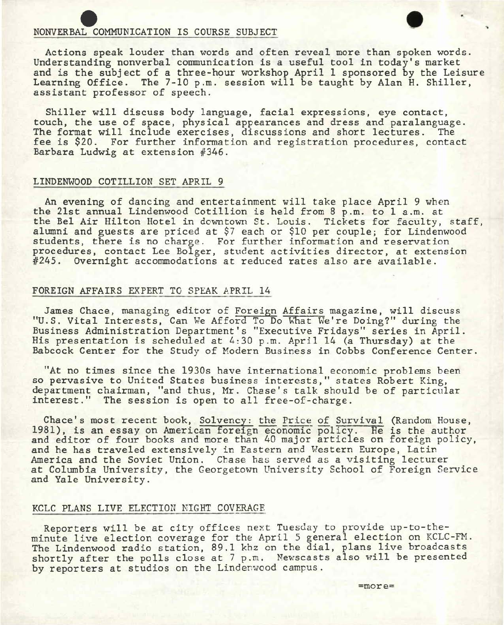NONVERBAL COMMUNICATION IS COURSE SUBJECT<br>Actions speak louder than words and often reveal more than spoken words. Understanding nonverbal communication is a useful tool in today's market and is the subject of a three-hour workshop April 1 sponsored by the Leisure Learning Office. The 7-10 p.m. session will be taught by Alan H. Shiller, assistant professor of speech.

Shiller will discuss body language, facial expressions, eye contact, touch, the use of space, physical appearances and dress and paralanguage. The format will include exercises, discussions and short lectures. fee is \$20. For further information and registration procedures, contact Barbara Ludwig at extension #346.

### LINDENWOOD COTILLION SET APRIL 9

An evening of dancing and entertainment will take place April 9 when the 21st annual Lindenwood Cotillion is held from 8 p.m. to 1 a.m. at the Bel Air Hilton Hotel in downtown St. Louis. Tickets for faculty, staff, alumni and guests are priced at \$7 each or \$10 per couple; for Lindenwood students, there is no charge. For further information and reservation procedures, contact Lee Bolger, student activities director, at extension #245. Overnight accommodations at reduced rates also are available.

# FOREIGN AFFAIRS EXPERT TO SPEAK APRIL 14

James Chace, managing editor of Foreign Affairs magazine, will discuss "U.S. Vital Interests, Can We Afford To Do What We're Doing?" during the Business Administration Department's "Executive Fridays" series in April. His presentation is scheduled at 4:30 p.m. April 14 (a Thursday) at the Babcock Center for the Study of Modern Business in Cobbs Conference Center.

"At no times since the 1930s have international economic problems been so pervasive to United States business interests," states Robert King, department chairman, "and thus, Mr. Chase's talk should be of particular interest." The session is open to all free-of-charge.

Chace's most recent book, Solvency: the Price of Survival (Random House, 1981), is an essay on American foreign economic policy. He is the author and editor of four books and more than 40 major articles on foreign policy, and he has traveled extensively in Eastern and Western Europe, Latin America and the Soviet Union. Chase has served as a visiting lecturer at Columbia University, the Georgetown University School of Foreign Service and Yale University.

#### KCLC PLANS LIVE ELECTION NIGHT COVERAGE

Reporters will be at city offices next Tuesday to provide up-to-theminute live election coverage for the April 5 general election on KCLC-FM. The Lindenwood radio station, 89.1 khz on the dial, plans live broadcasts shortly after the polls close at 7 p.m. Newscasts also will be presented by reporters at studios on the Linderwood campus.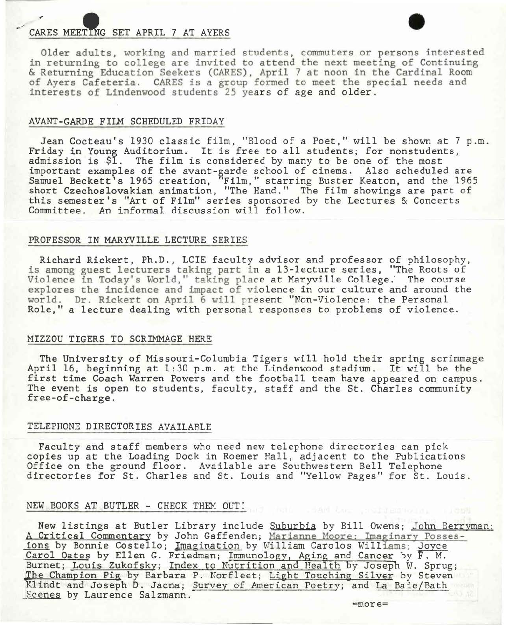CARES MEETING SET APRIL 7 AT AYERS • OLDER COMMUNICATES OF PERSONS Interested in returning to college are invited to attend the next meeting of Continuing & Returning Education Seekers (CARES), April 7 at noon in the Cardinal Room of Ayers Cafeteria. CARES is a group formed to meet the special needs and interests of Lindenwood students 25 years of age and older.

# AVANT-GARDE FILM SCHEDULED FRIDAY

Jean Cocteau's 1930 classic film, "Blood of a Poet," will be shown at 7 p.m. Friday in Young Auditorium. It is free to all students; for nonstudents, admission is \$1. The film is considered by many to be one of the most important examples of the avant-garde school of cinema. Also scheduled are Samuel Beckett's 1965 creation, "Film," starring Buster Keaton, and the 1965 short Czechoslovakian animation, "The Hand." The film showings are part of this semester's "Art of Film" series sponsored by the Lectures & Concerts Committee. An informal discussion will follow.

### PROFESSOR IN MARYVILLE LECTURE SERIES

Richard Rickert, Ph.D., LCIE faculty advisor and professor of philosophy, is among guest lecturers taking part in a 13-lecture series, "The Roots of Violence in Today's World," taking place at Maryville College. The course explores the incidence and impact of violence in our culture and around the world. Dr. Rickert on April 6 will present "Non-Violence: the Personal Role," a lecture dealing with personal responses to problems of violence.

### MIZZOU TIGERS TO SCRIMMAGE HERE

The University of Missouri-Columbia Tigers will hold their spring scrimmage April 16, beginning at 1:30 p.m. at the Lindenwood stadium. It will be the first time Coach Warren Powers and the football team have appeared on campus. The event is open to students, faculty, staff and the St. Charles community free-of-charge.

### TELEPHONE DIRECTORIES AVAILABLE

Faculty and staff members who need new telephone directories can pick copies up at the Loading Dock in Roemer Hall, adjacent *to* the Publications Office on the ground floor. Available are Southwestern Bell Telephone directories for St. Charles and St. Louis and "Yellow Pages" for St. Louis.

# NEW BOOKS AT BUTLER - CHECK THEM OVT!

New listings at Butler Library include **Suburbia** by Bill Owens; John Berryman: A Critical Commentary by John Gaffenden; Marianne Moore: Imaginary Possesions by Bonnie Costello; Imagination by William Carolos Williams; Joyce Carol Oates by Ellen G. Friedman; Immunology, Aging and Cancer by F. M. Burnet; Louis Zukofsky; Index to Nutrition and Health by Joseph W. Sprug; The Champion Pig by Barbara P. Norfleet; Light Touching Silver by Steven Klindt and Joseph D. Jacna; Survey of American Poetry; and La Baie/Bath Scenes by Laurence Salzmann.